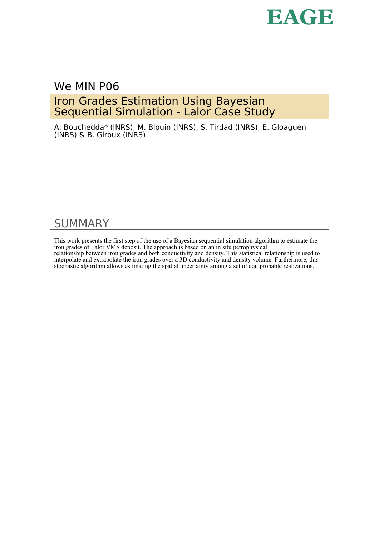

## We MIN P06

# Iron Grades Estimation Using Bayesian Sequential Simulation - Lalor Case Study

A. Bouchedda\* (INRS), M. Blouin (INRS), S. Tirdad (INRS), E. Gloaguen (INRS) & B. Giroux (INRS)

# SUMMARY

This work presents the first step of the use of a Bayesian sequential simulation algorithm to estimate the iron grades of Lalor VMS deposit. The approach is based on an in situ petrophysical relationship between iron grades and both conductivity and density. This statistical relationship is used to interpolate and extrapolate the iron grades over a 3D conductivity and density volume. Furthermore, this stochastic algorithm allows estimating the spatial uncertainty among a set of equiprobable realizations.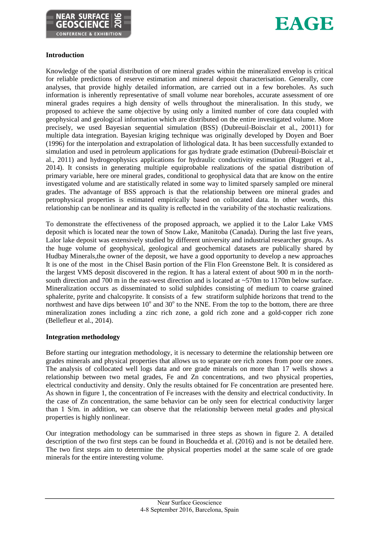



## **Introduction**

Knowledge of the spatial distribution of ore mineral grades within the mineralized envelop is critical for reliable predictions of reserve estimation and mineral deposit characterisation. Generally, core analyses, that provide highly detailed information, are carried out in a few boreholes. As such information is inherently representative of small volume near boreholes, accurate assessment of ore mineral grades requires a high density of wells throughout the mineralisation. In this study, we proposed to achieve the same objective by using only a limited number of core data coupled with geophysical and geological information which are distributed on the entire investigated volume. More precisely, we used Bayesian sequential simulation (BSS) (Dubreuil-Boisclair et al., 20011) for multiple data integration. Bayesian kriging technique was originally developed by Doyen and Boer (1996) for the interpolation and extrapolation of lithological data. It has been successfully extanded to simulation and used in petroleum applications for gas hydrate grade estimation (Dubreuil-Boisclair et al., 2011) and hydrogeophysics applications for hydraulic conductivity estimation (Ruggeri et al., 2014). It consists in generating multiple equiprobable realizations of the spatial distribution of primary variable, here ore mineral grades, conditional to geophysical data that are know on the entire investigated volume and are statistically related in some way to limited sparsely sampled ore mineral grades. The advantage of BSS approach is that the relationship between ore mineral grades and petrophysical properties is estimated empirically based on collocated data. In other words, this relationship can be nonlinear and its quality is reflected in the variability of the stochastic realizations.

To demonstrate the effectiveness of the proposed approach, we applied it to the Lalor Lake VMS deposit which is located near the town of Snow Lake, Manitoba (Canada). During the last five years, Lalor lake deposit was extensively studied by different university and industrial researcher groups. As the huge volume of geophysical, geological and geochemical datasets are publically shared by Hudbay Minerals,the owner of the deposit, we have a good opportunity to develop a new approaches It is one of the most in the Chisel Basin portion of the Flin Flon Greenstone Belt. It is considered as the largest VMS deposit discovered in the region. It has a lateral extent of about 900 m in the northsouth direction and 700 m in the east-west direction and is located at ~570m to 1170m below surface. Mineralization occurs as disseminated to solid sulphides consisting of medium to coarse grained sphalerite, pyrite and chalcopyrite. It consists of a few stratiform sulphide horizons that trend to the northwest and have dips between  $10^{\circ}$  and  $30^{\circ}$  to the NNE. From the top to the bottom, there are three mineralization zones including a zinc rich zone, a gold rich zone and a gold-copper rich zone (Bellefleur et al., 2014).

## **Integration methodology**

Before starting our integration methodology, it is necessary to determine the relationship between ore grades minerals and physical properties that allows us to separate ore rich zones from poor ore zones. The analysis of collocated well logs data and ore grade minerals on more than 17 wells shows a relationship between two metal grades, Fe and Zn concentrations, and two physical properties, electrical conductivity and density. Only the results obtained for Fe concentration are presented here. As shown in figure 1, the concentration of Fe increases with the density and electrical conductivity. In the case of Zn concentration, the same behavior can be only seen for electrical conductivity larger than 1 S/m. in addition, we can observe that the relationship between metal grades and physical properties is highly nonlinear.

Our integration methodology can be summarised in three steps as shown in figure 2. A detailed description of the two first steps can be found in Bouchedda et al. (2016) and is not be detailed here. The two first steps aim to determine the physical properties model at the same scale of ore grade minerals for the entire interesting volume.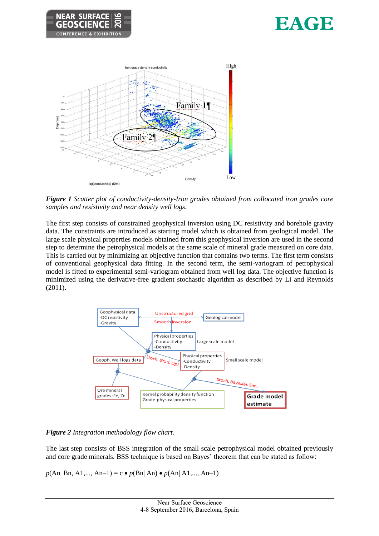





*Figure 1 Scatter plot of conductivity-density-Iron grades obtained from collocated iron grades core samples and resistivity and near density well logs.* 

The first step consists of constrained geophysical inversion using DC resistivity and borehole gravity data. The constraints are introduced as starting model which is obtained from geological model. The large scale physical properties models obtained from this geophysical inversion are used in the second step to determine the petrophysical models at the same scale of mineral grade measured on core data. This is carried out by minimizing an objective function that contains two terms. The first term consists of conventional geophysical data fitting. In the second term, the semi-variogram of petrophysical model is fitted to experimental semi-variogram obtained from well log data. The objective function is minimized using the derivative-free gradient stochastic algorithm as described by Li and Reynolds (2011).



*Figure 2 Integration methodology flow chart.* 

The last step consists of BSS integration of the small scale petrophysical model obtained previously and core grade minerals. BSS technique is based on Bayes' theorem that can be stated as follow:

 $p(An | Bn, A1,..., An-1) = c \bullet p(Bn | An) \bullet p(An | A1,..., An-1)$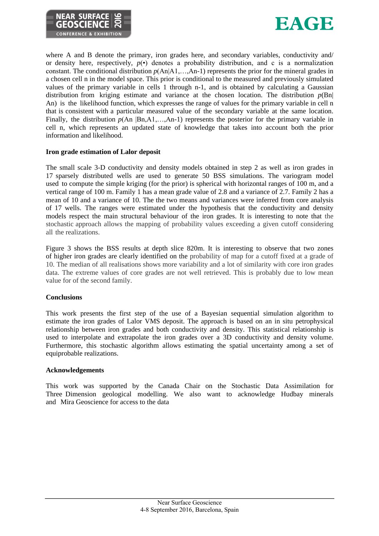



where A and B denote the primary, iron grades here, and secondary variables, conductivity and/ or density here, respectively,  $p(\cdot)$  denotes a probability distribution, and c is a normalization constant. The conditional distribution *p*(An|A1,…,An-1) represents the prior for the mineral grades in a chosen cell n in the model space. This prior is conditional to the measured and previously simulated values of the primary variable in cells 1 through n-1, and is obtained by calculating a Gaussian distribution from kriging estimate and variance at the chosen location. The distribution  $p(Bn)$ An) is the likelihood function, which expresses the range of values for the primary variable in cell n that is consistent with a particular measured value of the secondary variable at the same location. Finally, the distribution  $p(An | Bn, A1, \ldots, An-1)$  represents the posterior for the primary variable in cell n, which represents an updated state of knowledge that takes into account both the prior information and likelihood.

## **Iron grade estimation of Lalor deposit**

The small scale 3-D conductivity and density models obtained in step 2 as well as iron grades in 17 sparsely distributed wells are used to generate 50 BSS simulations. The variogram model used to compute the simple kriging (for the prior) is spherical with horizontal ranges of 100 m, and a vertical range of 100 m. Family 1 has a mean grade value of 2.8 and a variance of 2.7. Family 2 has a mean of 10 and a variance of 10. The the two means and variances were inferred from core analysis of 17 wells. The ranges were estimated under the hypothesis that the conductivity and density models respect the main structural behaviour of the iron grades. It is interesting to note that the stochastic approach allows the mapping of probability values exceeding a given cutoff considering all the realizations.

Figure 3 shows the BSS results at depth slice 820m. It is interesting to observe that two zones of higher iron grades are clearly identified on the probability of map for a cutoff fixed at a grade of 10. The median of all realisations shows more variability and a lot of similarity with core iron grades data. The extreme values of core grades are not well retrieved. This is probably due to low mean value for of the second family.

### **Conclusions**

This work presents the first step of the use of a Bayesian sequential simulation algorithm to estimate the iron grades of Lalor VMS deposit. The approach is based on an in situ petrophysical relationship between iron grades and both conductivity and density. This statistical relationship is used to interpolate and extrapolate the iron grades over a 3D conductivity and density volume. Furthermore, this stochastic algorithm allows estimating the spatial uncertainty among a set of equiprobable realizations.

### **Acknowledgements**

This work was supported by the Canada Chair on the Stochastic Data Assimilation for Three Dimension geological modelling. We also want to acknowledge Hudbay minerals and Mira Geoscience for access to the data